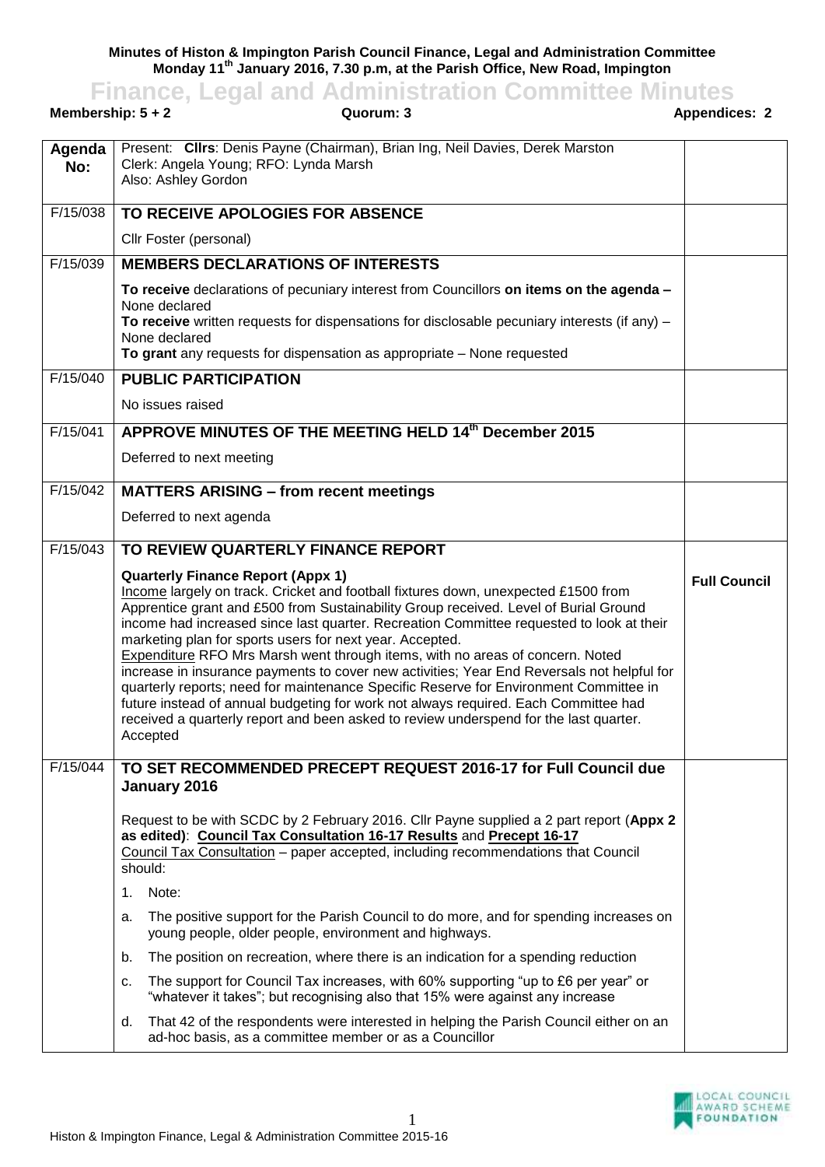**Minutes of Histon & Impington Parish Council Finance, Legal and Administration Committee Monday 11th January 2016, 7.30 p.m, at the Parish Office, New Road, Impington**

**Finance, Legal and Administration Committee Minutes**<br>ership: 5 + 2 Quorum: 3 Appendices: 2

|               | Membership: $5 + 2$<br>Quorum: 3                                                                                                                                                                                                                                                                                                                                                                                                                                                                                                                                                                                                                                                                                                                                                                                                                          |                     |
|---------------|-----------------------------------------------------------------------------------------------------------------------------------------------------------------------------------------------------------------------------------------------------------------------------------------------------------------------------------------------------------------------------------------------------------------------------------------------------------------------------------------------------------------------------------------------------------------------------------------------------------------------------------------------------------------------------------------------------------------------------------------------------------------------------------------------------------------------------------------------------------|---------------------|
| Agenda<br>No: | Present: Clirs: Denis Payne (Chairman), Brian Ing, Neil Davies, Derek Marston<br>Clerk: Angela Young; RFO: Lynda Marsh<br>Also: Ashley Gordon                                                                                                                                                                                                                                                                                                                                                                                                                                                                                                                                                                                                                                                                                                             |                     |
| F/15/038      | TO RECEIVE APOLOGIES FOR ABSENCE                                                                                                                                                                                                                                                                                                                                                                                                                                                                                                                                                                                                                                                                                                                                                                                                                          |                     |
|               | Cllr Foster (personal)                                                                                                                                                                                                                                                                                                                                                                                                                                                                                                                                                                                                                                                                                                                                                                                                                                    |                     |
| F/15/039      | <b>MEMBERS DECLARATIONS OF INTERESTS</b>                                                                                                                                                                                                                                                                                                                                                                                                                                                                                                                                                                                                                                                                                                                                                                                                                  |                     |
|               | To receive declarations of pecuniary interest from Councillors on items on the agenda -<br>None declared<br>To receive written requests for dispensations for disclosable pecuniary interests (if any) $-$<br>None declared<br>To grant any requests for dispensation as appropriate - None requested                                                                                                                                                                                                                                                                                                                                                                                                                                                                                                                                                     |                     |
| F/15/040      | <b>PUBLIC PARTICIPATION</b>                                                                                                                                                                                                                                                                                                                                                                                                                                                                                                                                                                                                                                                                                                                                                                                                                               |                     |
|               | No issues raised                                                                                                                                                                                                                                                                                                                                                                                                                                                                                                                                                                                                                                                                                                                                                                                                                                          |                     |
| F/15/041      | APPROVE MINUTES OF THE MEETING HELD 14th December 2015                                                                                                                                                                                                                                                                                                                                                                                                                                                                                                                                                                                                                                                                                                                                                                                                    |                     |
|               | Deferred to next meeting                                                                                                                                                                                                                                                                                                                                                                                                                                                                                                                                                                                                                                                                                                                                                                                                                                  |                     |
| F/15/042      | <b>MATTERS ARISING - from recent meetings</b>                                                                                                                                                                                                                                                                                                                                                                                                                                                                                                                                                                                                                                                                                                                                                                                                             |                     |
|               | Deferred to next agenda                                                                                                                                                                                                                                                                                                                                                                                                                                                                                                                                                                                                                                                                                                                                                                                                                                   |                     |
| F/15/043      | TO REVIEW QUARTERLY FINANCE REPORT                                                                                                                                                                                                                                                                                                                                                                                                                                                                                                                                                                                                                                                                                                                                                                                                                        |                     |
|               | <b>Quarterly Finance Report (Appx 1)</b><br>Income largely on track. Cricket and football fixtures down, unexpected £1500 from<br>Apprentice grant and £500 from Sustainability Group received. Level of Burial Ground<br>income had increased since last quarter. Recreation Committee requested to look at their<br>marketing plan for sports users for next year. Accepted.<br><b>Expenditure RFO Mrs Marsh went through items, with no areas of concern. Noted</b><br>increase in insurance payments to cover new activities; Year End Reversals not helpful for<br>quarterly reports; need for maintenance Specific Reserve for Environment Committee in<br>future instead of annual budgeting for work not always required. Each Committee had<br>received a quarterly report and been asked to review underspend for the last quarter.<br>Accepted | <b>Full Council</b> |
| F/15/044      | TO SET RECOMMENDED PRECEPT REQUEST 2016-17 for Full Council due<br>January 2016                                                                                                                                                                                                                                                                                                                                                                                                                                                                                                                                                                                                                                                                                                                                                                           |                     |
|               | Request to be with SCDC by 2 February 2016. Cllr Payne supplied a 2 part report (Appx 2<br>as edited): Council Tax Consultation 16-17 Results and Precept 16-17<br>Council Tax Consultation - paper accepted, including recommendations that Council<br>should:                                                                                                                                                                                                                                                                                                                                                                                                                                                                                                                                                                                           |                     |
|               | Note:<br>1.                                                                                                                                                                                                                                                                                                                                                                                                                                                                                                                                                                                                                                                                                                                                                                                                                                               |                     |
|               | The positive support for the Parish Council to do more, and for spending increases on<br>a.<br>young people, older people, environment and highways.                                                                                                                                                                                                                                                                                                                                                                                                                                                                                                                                                                                                                                                                                                      |                     |
|               | The position on recreation, where there is an indication for a spending reduction<br>b.                                                                                                                                                                                                                                                                                                                                                                                                                                                                                                                                                                                                                                                                                                                                                                   |                     |
|               | The support for Council Tax increases, with 60% supporting "up to £6 per year" or<br>c.<br>"whatever it takes"; but recognising also that 15% were against any increase                                                                                                                                                                                                                                                                                                                                                                                                                                                                                                                                                                                                                                                                                   |                     |
|               | That 42 of the respondents were interested in helping the Parish Council either on an<br>d.<br>ad-hoc basis, as a committee member or as a Councillor                                                                                                                                                                                                                                                                                                                                                                                                                                                                                                                                                                                                                                                                                                     |                     |